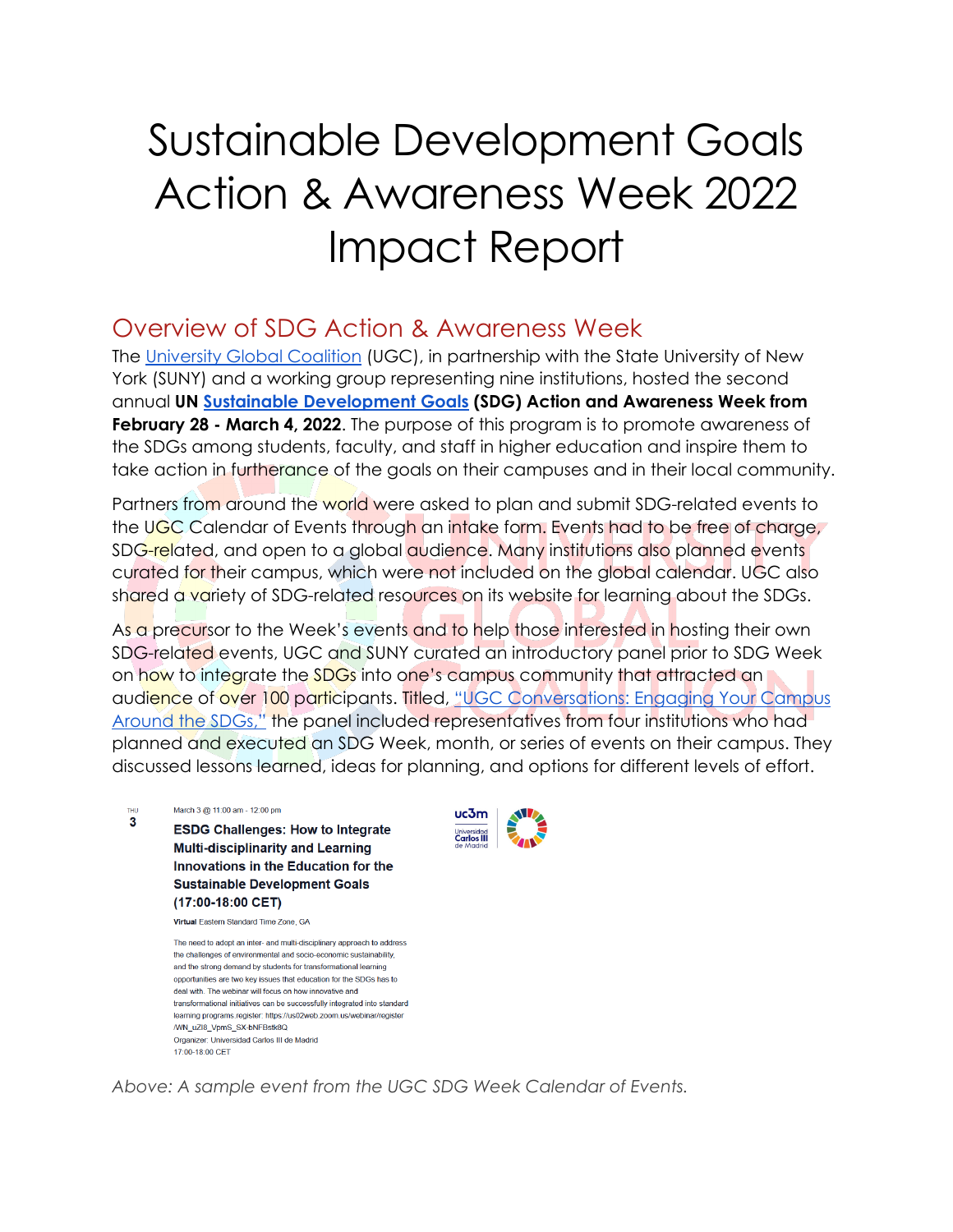# Sustainable Development Goals Action & Awareness Week 2022 Impact Report

### Overview of SDG Action & Awareness Week

The [University Global Coalition](http://universityglobalcoalition.org/) (UGC), in partnership with the State University of New York (SUNY) and a working group representing nine institutions, hosted the second annual **UN [Sustainable Development Goals](https://sdgs.un.org/goals) (SDG) Action and Awareness Week from February 28 - March 4, 2022**. The purpose of this program is to promote awareness of the SDGs among students, faculty, and staff in higher education and inspire them to take action in furtherance of the goals on their campuses and in their local community.

Partners from around the world were asked to plan and submit SDG-related events to the UGC Calendar of Events through an intake form. Events had to be free of charge, SDG-related, and open to a global audience. Many institutions also planned events curated for their campus, which were not included on the global calendar. UGC also shared a variety of SDG-related resources on its website for learning about the SDGs.

As a precursor to the Week's events and to help those interested in hosting their own SDG-related events, UGC and SUNY curated an introductory panel prior to SDG Week on how to integrate the SDGs into one's campus community that attracted an audience of over 100 participants. Titled, ["UGC Conversations: Engaging Your Campus](https://universityglobalcoalition.org/aiovg_videos/ugc-conversations-engaging-your-campus-around-the-sdgs/)  [Around the SDGs,"](https://universityglobalcoalition.org/aiovg_videos/ugc-conversations-engaging-your-campus-around-the-sdgs/) the panel included representatives from four institutions who had planned and executed an SDG Week, month, or series of events on their campus. They discussed lessons learned, ideas for planning, and options for different levels of effort.

**THU** March 3 @ 11:00 am - 12:00 pm 3 **ESDG Challenges: How to Integrate Multi-disciplinarity and Learning** Innovations in the Education for the **Sustainable Development Goals** (17:00-18:00 CET) Virtual Eastern Standard Time Zone, GA

> The need to adopt an inter- and multi-disciplinary approach to address the challenges of environmental and socio-economic sustainability, and the strong demand by students for transformational learning opportunities are two key issues that education for the SDGs has to deal with. The webinar will focus on how innovative and transformational initiatives can be successfully integrated into standard learning programs.register: https://us02web.zoom.us/webinar/register /WN uZI8 VpmS SX-bNFBstk8Q Organizer: Universidad Carlos III de Madrid 17:00-18:00 CET



*Above: A sample event from the UGC SDG Week Calendar of Events.*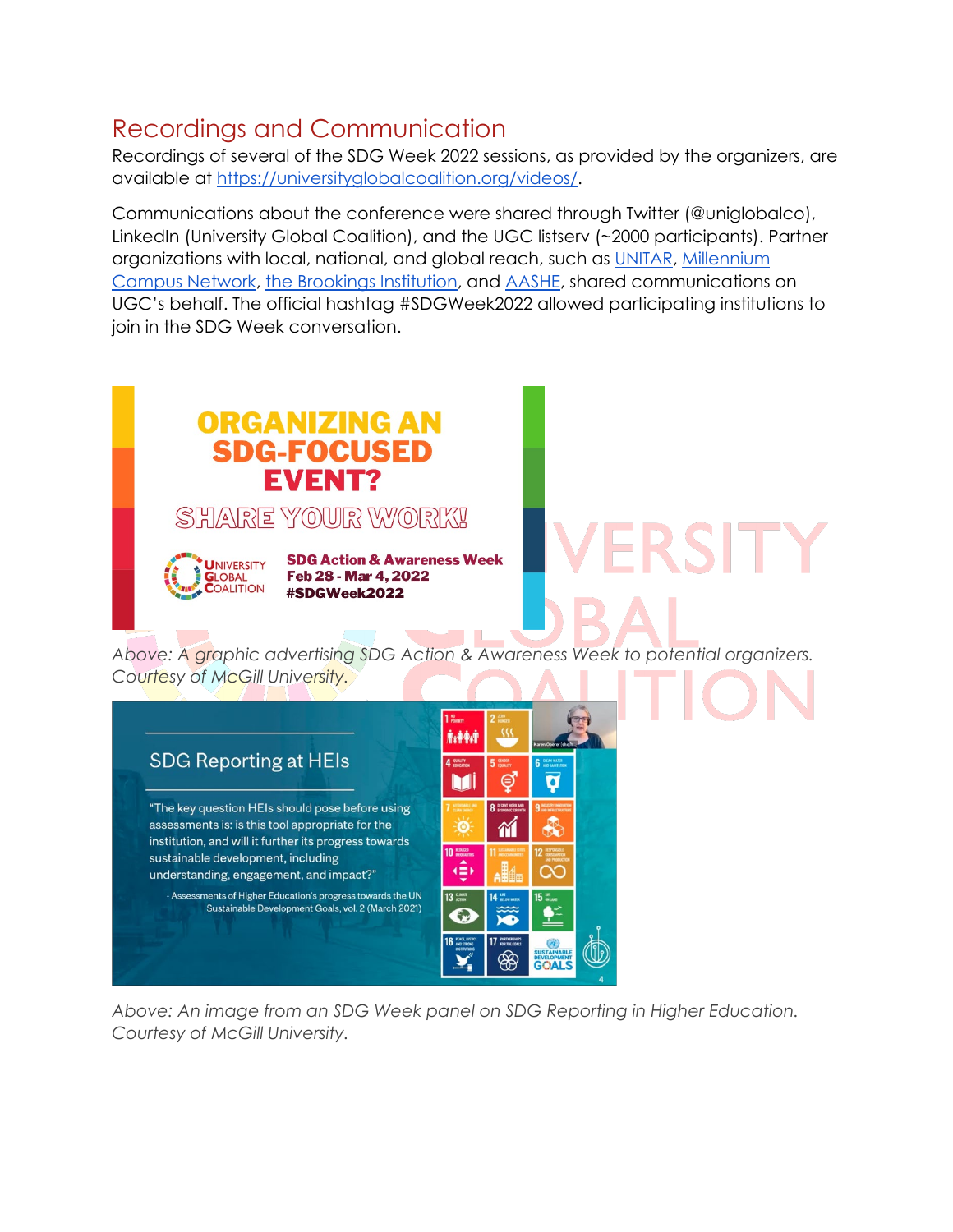## Recordings and Communication

Recordings of several of the SDG Week 2022 sessions, as provided by the organizers, are available at [https://universityglobalcoalition.org/videos/.](https://universityglobalcoalition.org/videos/)

Communications about the conference were shared through Twitter (@uniglobalco), LinkedIn (University Global Coalition), and the UGC listserv (~2000 participants). Partner organizations with local, national, and global reach, such as [UNITAR,](https://unitar.org/) Millennium [Campus Network,](https://mcnpartners.org/) [the Brookings Institution,](https://www.brookings.edu/) and [AASHE,](https://www.aashe.org/) shared communications on UGC's behalf. The official hashtag #SDGWeek2022 allowed participating institutions to join in the SDG Week conversation.



*Above: An image from an SDG Week panel on SDG Reporting in Higher Education. Courtesy of McGill University.*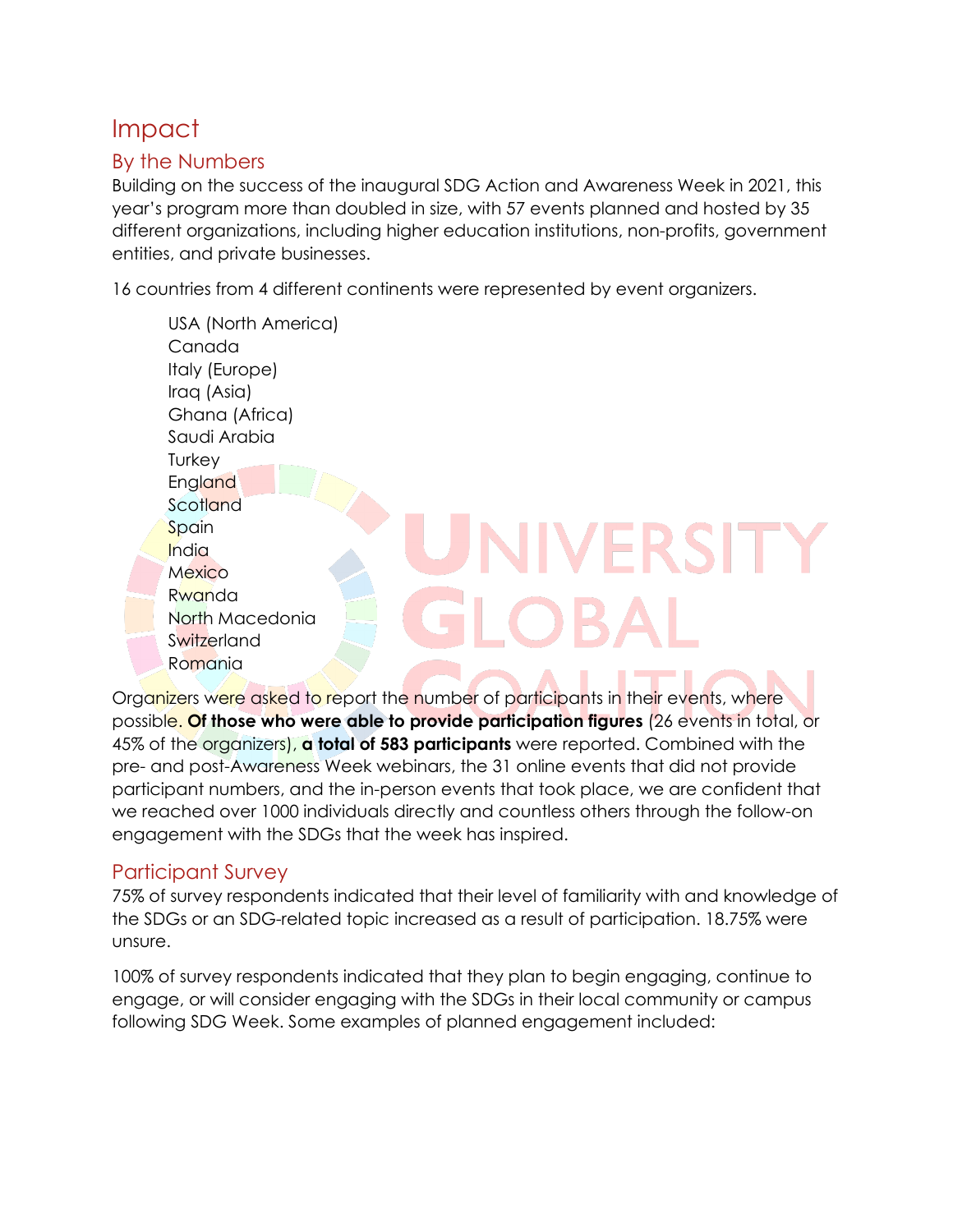## Impact

#### By the Numbers

Building on the success of the inaugural SDG Action and Awareness Week in 2021, this year's program more than doubled in size, with 57 events planned and hosted by 35 different organizations, including higher education institutions, non-profits, government entities, and private businesses.

16 countries from 4 different continents were represented by event organizers.

USA (North America) Canada Italy (Europe) Iraq (Asia) Ghana (Africa) Saudi Arabia **Turkey England Scotland NIVERSIT Spain** India **Mexico** Rwanda North Macedonia **Switzerland** Romania

Organizers were asked to report the number of participants in their events, where possible. **Of those who were able to provide participation figures** (26 events in total, or 45% of the organizers), **a total of 583 participants** were reported. Combined with the pre- and post-Awareness Week webinars, the 31 online events that did not provide participant numbers, and the in-person events that took place, we are confident that we reached over 1000 individuals directly and countless others through the follow-on engagement with the SDGs that the week has inspired.

#### Participant Survey

75% of survey respondents indicated that their level of familiarity with and knowledge of the SDGs or an SDG-related topic increased as a result of participation. 18.75% were unsure.

100% of survey respondents indicated that they plan to begin engaging, continue to engage, or will consider engaging with the SDGs in their local community or campus following SDG Week. Some examples of planned engagement included: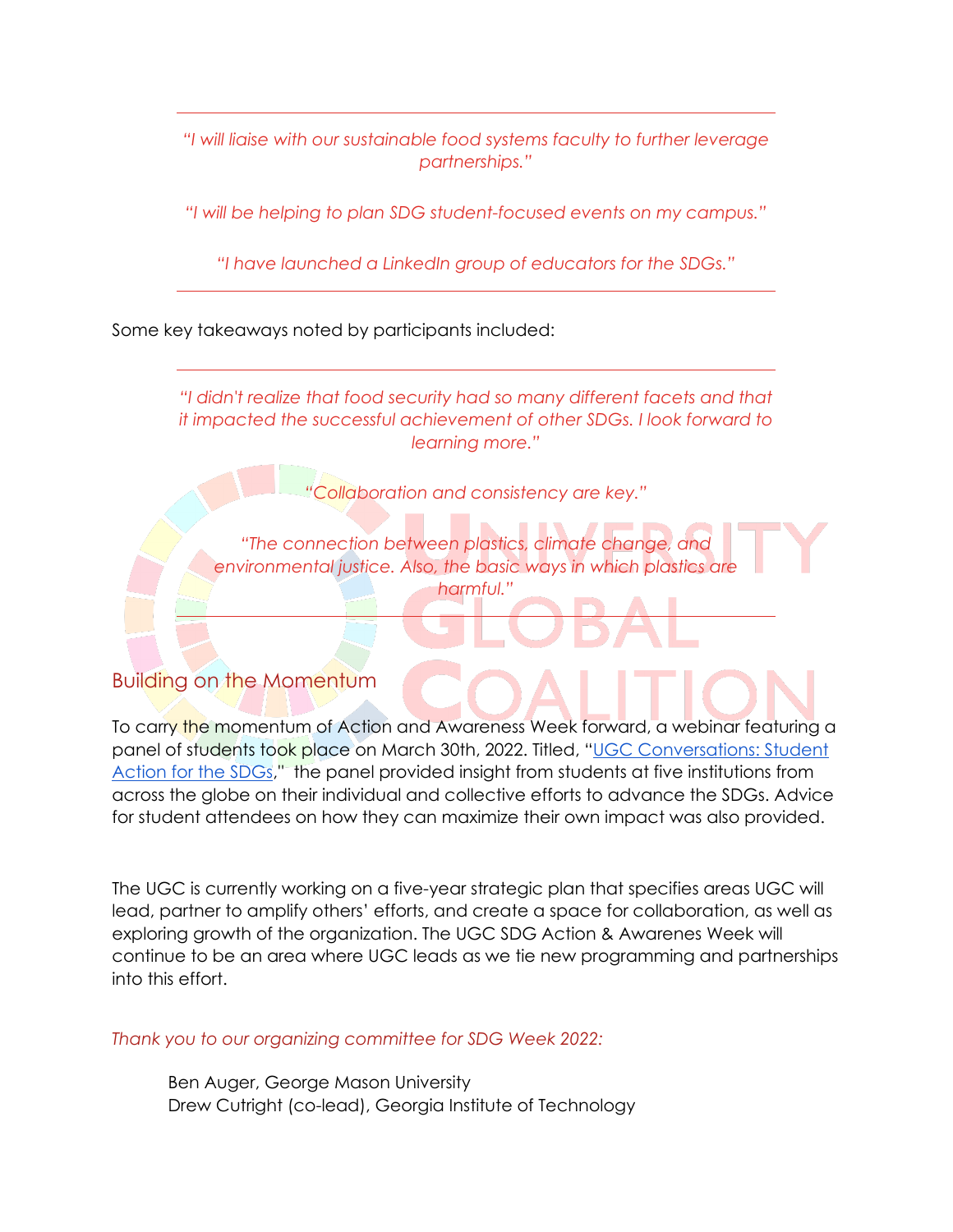*"I will liaise with our sustainable food systems faculty to further leverage partnerships."*

*"I will be helping to plan SDG student-focused events on my campus."*

*"I have launched a LinkedIn group of educators for the SDGs."*

Some key takeaways noted by participants included:

*"I didn't realize that food security had so many different facets and that it impacted the successful achievement of other SDGs. I look forward to learning more."*

*"Collaboration and consistency are key."*

*"The connection between plastics, climate change, and*  environmental justice. Also, the basic ways in which plastics are *harmful."*

#### Building on the Momentum

To carry the momentum of Action and Awareness Week forward, a webinar featuring a panel of students took place on March 30th, 2022. Titled, ["UGC Conversations: Student](https://universityglobalcoalition.org/aiovg_videos/ugc-conversations-student-action-for-the-sdgs/)  [Action for the SDGs,](https://universityglobalcoalition.org/aiovg_videos/ugc-conversations-student-action-for-the-sdgs/)" the panel provided insight from students at five institutions from across the globe on their individual and collective efforts to advance the SDGs. Advice for student attendees on how they can maximize their own impact was also provided.

The UGC is currently working on a five-year strategic plan that specifies areas UGC will lead, partner to amplify others' efforts, and create a space for collaboration, as well as exploring growth of the organization. The UGC SDG Action & Awarenes Week will continue to be an area where UGC leads as we tie new programming and partnerships into this effort.

*Thank you to our organizing committee for SDG Week 2022:*

Ben Auger, George Mason University Drew Cutright (co-lead), Georgia Institute of Technology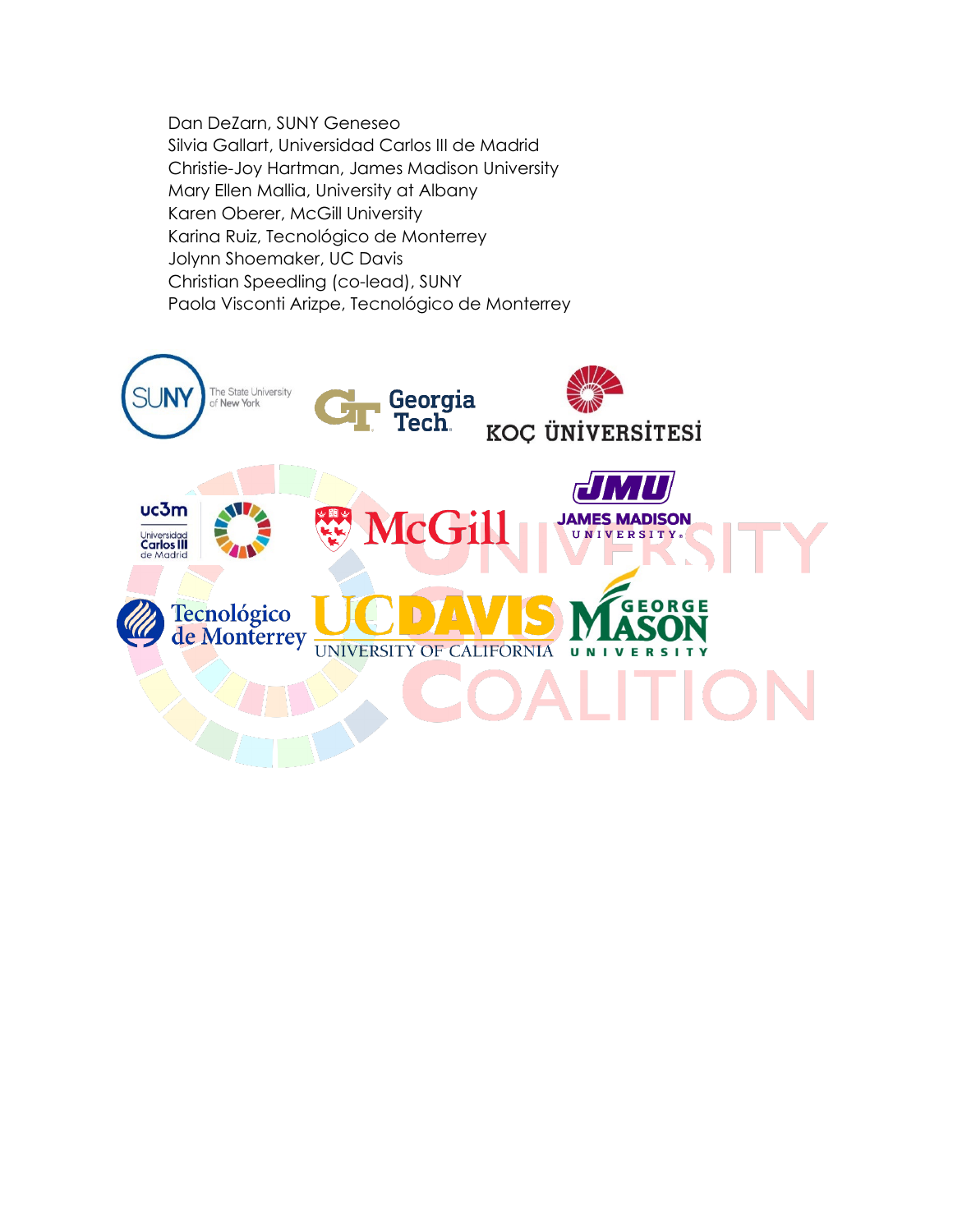Dan DeZarn, SUNY Geneseo Silvia Gallart, Universidad Carlos III de Madrid Christie-Joy Hartman, James Madison University Mary Ellen Mallia, University at Albany Karen Oberer, McGill University Karina Ruiz, Tecnológico de Monterrey Jolynn Shoemaker, UC Davis Christian Speedling (co-lead), SUNY Paola Visconti Arizpe, Tecnológico de Monterrey

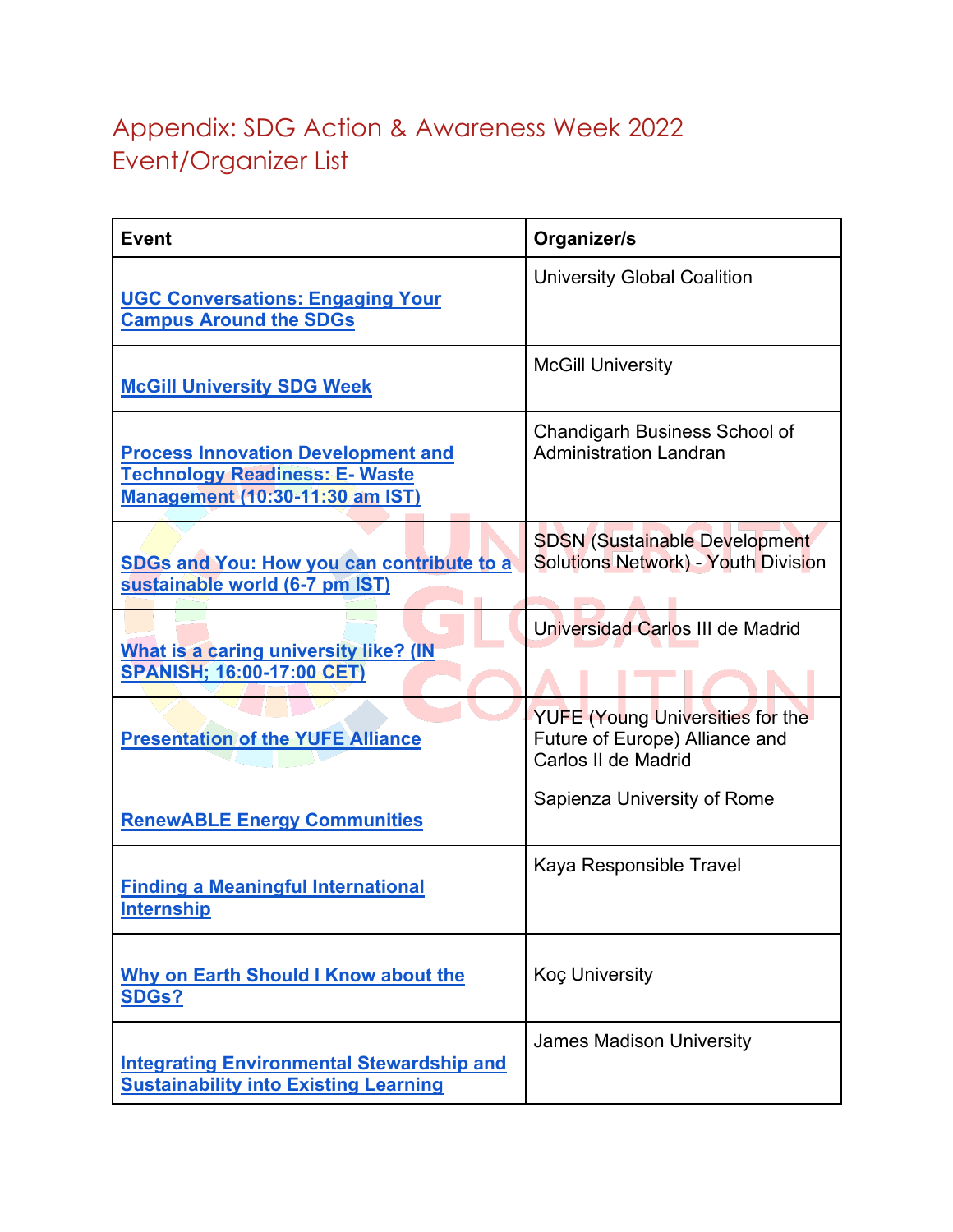## Appendix: SDG Action & Awareness Week 2022 Event/Organizer List

| <b>Event</b>                                                                                                                 | Organizer/s                                                                        |
|------------------------------------------------------------------------------------------------------------------------------|------------------------------------------------------------------------------------|
| <b>UGC Conversations: Engaging Your</b><br><b>Campus Around the SDGs</b>                                                     | <b>University Global Coalition</b>                                                 |
| <b>McGill University SDG Week</b>                                                                                            | <b>McGill University</b>                                                           |
| <b>Process Innovation Development and</b><br><b>Technology Readiness: E- Waste</b><br><b>Management (10:30-11:30 am IST)</b> | <b>Chandigarh Business School of</b><br><b>Administration Landran</b>              |
| <b>SDGs and You: How you can contribute to a</b><br>sustainable world (6-7 pm IST)                                           | <b>SDSN (Sustainable Development</b><br><b>Solutions Network) - Youth Division</b> |
| What is a caring university like? (IN<br><b>SPANISH; 16:00-17:00 CET)</b>                                                    | Universidad Carlos III de Madrid<br><b>YUFE (Young Universities for the</b>        |
| <b>Presentation of the YUFE Alliance</b>                                                                                     | Future of Europe) Alliance and<br>Carlos II de Madrid                              |
| <b>RenewABLE Energy Communities</b>                                                                                          | Sapienza University of Rome                                                        |
| <b>Finding a Meaningful International</b><br><b>Internship</b>                                                               | Kaya Responsible Travel                                                            |
| <b>Why on Earth Should I Know about the</b><br><b>SDGs?</b>                                                                  | <b>Koc University</b>                                                              |
| <b>Integrating Environmental Stewardship and</b><br><b>Sustainability into Existing Learning</b>                             | <b>James Madison University</b>                                                    |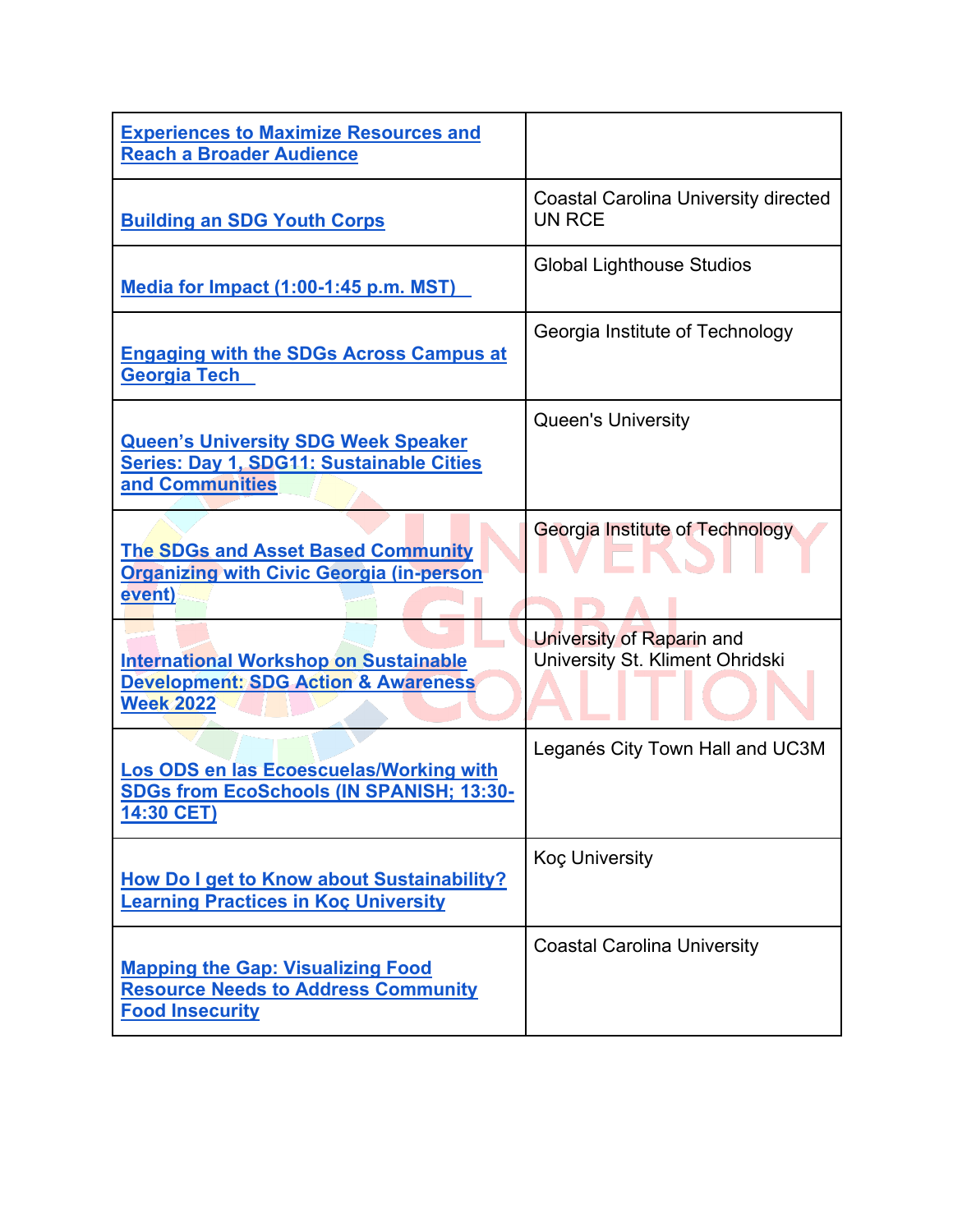| <b>Experiences to Maximize Resources and</b><br><b>Reach a Broader Audience</b>                                    |                                                              |
|--------------------------------------------------------------------------------------------------------------------|--------------------------------------------------------------|
| <b>Building an SDG Youth Corps</b>                                                                                 | <b>Coastal Carolina University directed</b><br><b>UN RCE</b> |
| Media for Impact (1:00-1:45 p.m. MST)                                                                              | <b>Global Lighthouse Studios</b>                             |
| <b>Engaging with the SDGs Across Campus at</b><br><b>Georgia Tech</b>                                              | Georgia Institute of Technology                              |
| <b>Queen's University SDG Week Speaker</b><br><b>Series: Day 1, SDG11: Sustainable Cities</b><br>and Communities   | <b>Queen's University</b>                                    |
| <b>The SDGs and Asset Based Community</b><br><b>Organizing with Civic Georgia (in-person</b><br>event)             | <b>Georgia Institute of Technology</b>                       |
| <b>International Workshop on Sustainable</b><br><b>Development: SDG Action &amp; Awareness</b><br><b>Week 2022</b> | University of Raparin and<br>University St. Kliment Ohridski |
| Los ODS en las Ecoescuelas/Working with<br><b>SDGs from EcoSchools (IN SPANISH; 13:30-</b><br>14:30 CET)           | Leganés City Town Hall and UC3M                              |
| How Do I get to Know about Sustainability?<br><b>Learning Practices in Koç University</b>                          | <b>Koc University</b>                                        |
| <b>Mapping the Gap: Visualizing Food</b><br><b>Resource Needs to Address Community</b><br><b>Food Insecurity</b>   | <b>Coastal Carolina University</b>                           |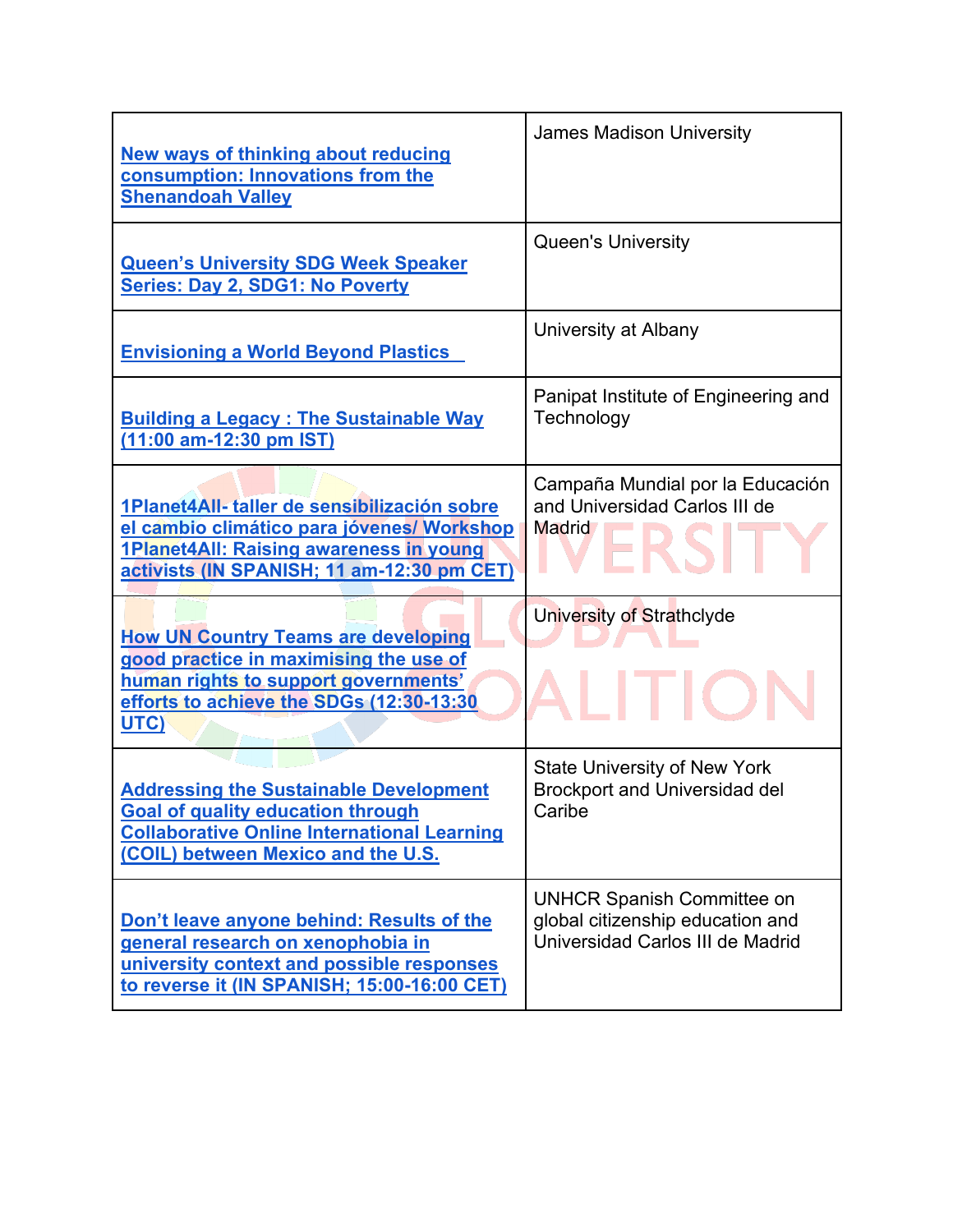| <b>New ways of thinking about reducing</b><br>consumption: Innovations from the<br><b>Shenandoah Valley</b>                                                                           | <b>James Madison University</b>                                                                           |
|---------------------------------------------------------------------------------------------------------------------------------------------------------------------------------------|-----------------------------------------------------------------------------------------------------------|
| <b>Queen's University SDG Week Speaker</b><br><b>Series: Day 2, SDG1: No Poverty</b>                                                                                                  | <b>Queen's University</b>                                                                                 |
| <b>Envisioning a World Beyond Plastics</b>                                                                                                                                            | University at Albany                                                                                      |
| <b>Building a Legacy: The Sustainable Way</b><br>(11:00 am-12:30 pm IST)                                                                                                              | Panipat Institute of Engineering and<br>Technology                                                        |
| 1Planet4All- taller de sensibilización sobre<br>el cambio climático para jóvenes/ Workshop<br>1Planet4All: Raising awareness in young<br>activists (IN SPANISH; 11 am-12:30 pm CET)   | Campaña Mundial por la Educación<br>and Universidad Carlos III de<br><b>Madrid</b>                        |
| <b>How UN Country Teams are developing</b><br>good practice in maximising the use of<br>human rights to support governments'<br>efforts to achieve the SDGs (12:30-13:30<br>UTC)      | University of Strathclyde                                                                                 |
| <b>Addressing the Sustainable Development</b><br><b>Goal of quality education through</b><br><b>Collaborative Online International Learning</b><br>(COIL) between Mexico and the U.S. | <b>State University of New York</b><br><b>Brockport and Universidad del</b><br>Caribe                     |
| Don't leave anyone behind: Results of the<br>general research on xenophobia in<br>university context and possible responses<br>to reverse it (IN SPANISH; 15:00-16:00 CET)            | <b>UNHCR Spanish Committee on</b><br>global citizenship education and<br>Universidad Carlos III de Madrid |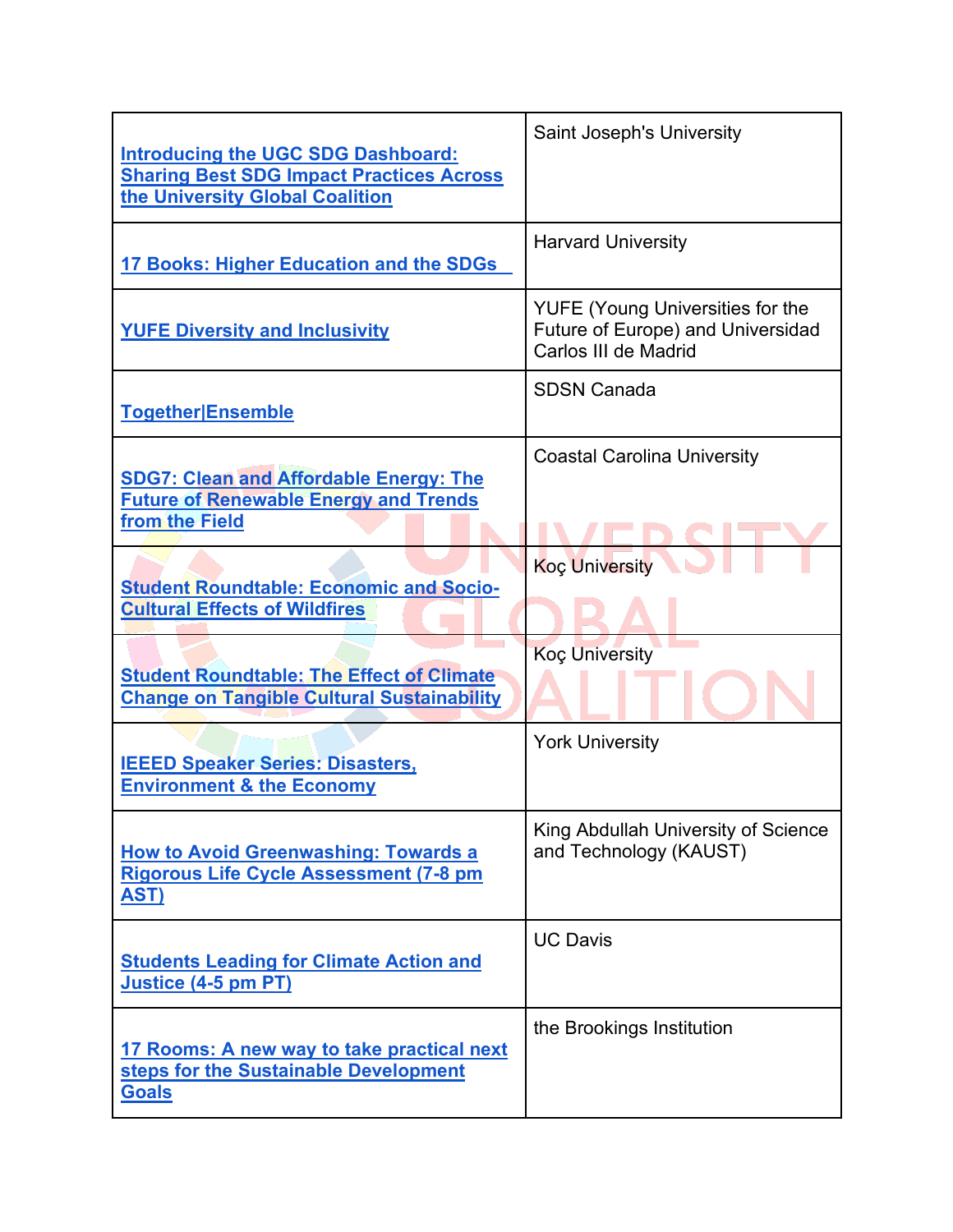| <b>Introducing the UGC SDG Dashboard:</b><br><b>Sharing Best SDG Impact Practices Across</b><br>the University Global Coalition | <b>Saint Joseph's University</b>                                                                     |
|---------------------------------------------------------------------------------------------------------------------------------|------------------------------------------------------------------------------------------------------|
| 17 Books: Higher Education and the SDGs                                                                                         | <b>Harvard University</b>                                                                            |
| <b>YUFE Diversity and Inclusivity</b>                                                                                           | <b>YUFE (Young Universities for the</b><br>Future of Europe) and Universidad<br>Carlos III de Madrid |
| <b>Together Ensemble</b>                                                                                                        | <b>SDSN Canada</b>                                                                                   |
| <b>SDG7: Clean and Affordable Energy: The</b><br><b>Future of Renewable Energy and Trends</b><br>from the Field                 | <b>Coastal Carolina University</b>                                                                   |
| <b>Student Roundtable: Economic and Socio-</b><br><b>Cultural Effects of Wildfires</b>                                          | <b>Koç University</b>                                                                                |
| <b>Student Roundtable: The Effect of Climate</b><br><b>Change on Tangible Cultural Sustainability</b>                           | <b>Koç University</b>                                                                                |
| <b>IEEED Speaker Series: Disasters,</b><br><b>Environment &amp; the Economy</b>                                                 | <b>York University</b>                                                                               |
| <b>How to Avoid Greenwashing: Towards a</b><br><b>Rigorous Life Cycle Assessment (7-8 pm</b><br><u>AST)</u>                     | King Abdullah University of Science<br>and Technology (KAUST)                                        |
| <b>Students Leading for Climate Action and</b><br>Justice (4-5 pm PT)                                                           | <b>UC Davis</b>                                                                                      |
| 17 Rooms: A new way to take practical next<br>steps for the Sustainable Development<br><b>Goals</b>                             | the Brookings Institution                                                                            |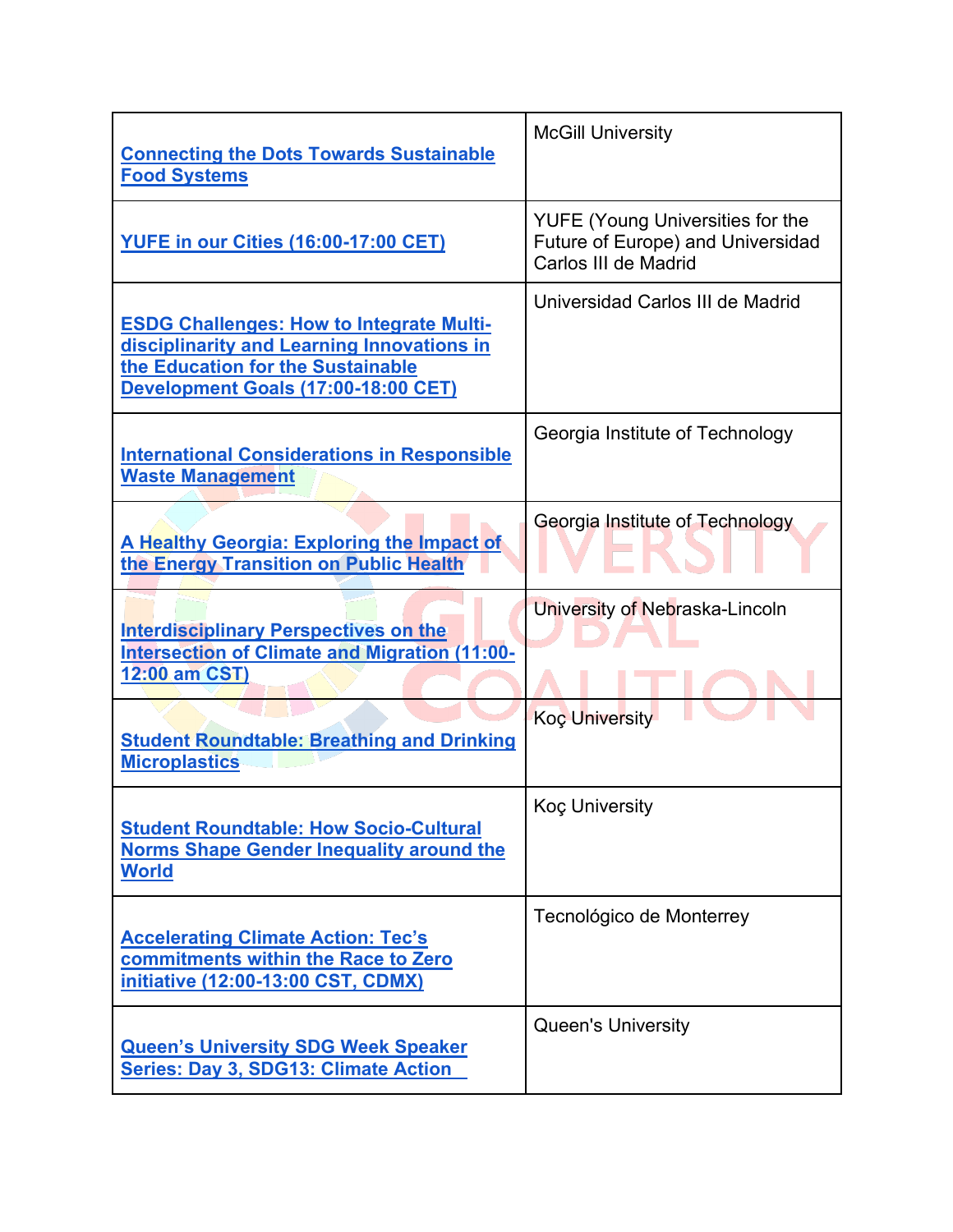| <b>Connecting the Dots Towards Sustainable</b><br><b>Food Systems</b>                                                                                                     | <b>McGill University</b>                                                                             |
|---------------------------------------------------------------------------------------------------------------------------------------------------------------------------|------------------------------------------------------------------------------------------------------|
| <b>YUFE in our Cities (16:00-17:00 CET)</b>                                                                                                                               | <b>YUFE (Young Universities for the</b><br>Future of Europe) and Universidad<br>Carlos III de Madrid |
| <b>ESDG Challenges: How to Integrate Multi-</b><br>disciplinarity and Learning Innovations in<br>the Education for the Sustainable<br>Development Goals (17:00-18:00 CET) | Universidad Carlos III de Madrid                                                                     |
| <b>International Considerations in Responsible</b><br><b>Waste Management</b>                                                                                             | Georgia Institute of Technology                                                                      |
| A Healthy Georgia: Exploring the Impact of<br>the Energy Transition on Public Health                                                                                      | Georgia Institute of Technology                                                                      |
| <b>Interdisciplinary Perspectives on the</b><br><b>Intersection of Climate and Migration (11:00-</b><br>12:00 am CST)                                                     | University of Nebraska-Lincoln                                                                       |
| <b>Student Roundtable: Breathing and Drinking</b><br><b>Microplastics</b>                                                                                                 | Koç University                                                                                       |
| <b>Student Roundtable: How Socio-Cultural</b><br><b>Norms Shape Gender Inequality around the</b><br><b>World</b>                                                          | <b>Koç University</b>                                                                                |
| <b>Accelerating Climate Action: Tec's</b><br>commitments within the Race to Zero<br>initiative (12:00-13:00 CST, CDMX)                                                    | Tecnológico de Monterrey                                                                             |
| <b>Queen's University SDG Week Speaker</b><br><b>Series: Day 3, SDG13: Climate Action</b>                                                                                 | <b>Queen's University</b>                                                                            |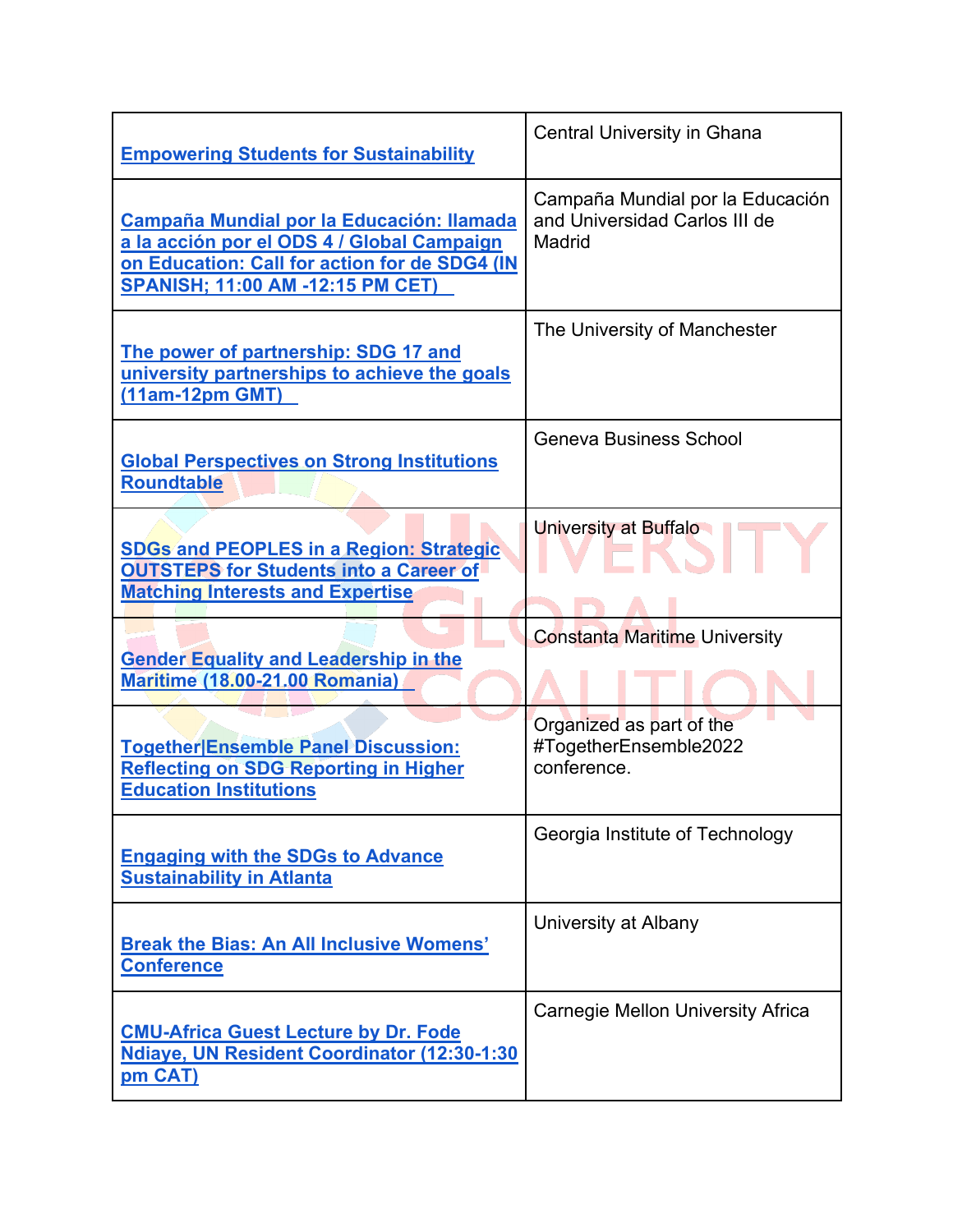| <b>Empowering Students for Sustainability</b>                                                                                                                                              | <b>Central University in Ghana</b>                                          |
|--------------------------------------------------------------------------------------------------------------------------------------------------------------------------------------------|-----------------------------------------------------------------------------|
| <b>Campaña Mundial por la Educación: llamada</b><br>a la acción por el ODS 4 / Global Campaign<br>on Education: Call for action for de SDG4 (IN<br><b>SPANISH; 11:00 AM -12:15 PM CET)</b> | Campaña Mundial por la Educación<br>and Universidad Carlos III de<br>Madrid |
| The power of partnership: SDG 17 and<br>university partnerships to achieve the goals<br>(11am-12pm GMT)                                                                                    | The University of Manchester                                                |
| <b>Global Perspectives on Strong Institutions</b><br><b>Roundtable</b>                                                                                                                     | <b>Geneva Business School</b>                                               |
| <b>SDGs and PEOPLES in a Region: Strategic</b><br><b>OUTSTEPS for Students into a Career of</b><br><b>Matching Interests and Expertise</b>                                                 | University at Buffalo                                                       |
| <b>Gender Equality and Leadership in the</b><br><b>Maritime (18.00-21.00 Romania)</b>                                                                                                      | <b>Constanta Maritime University</b>                                        |
| <b>Together Ensemble Panel Discussion:</b><br><b>Reflecting on SDG Reporting in Higher</b><br><b>Education Institutions</b>                                                                | Organized as part of the<br>#TogetherEnsemble2022<br>conference.            |
| <b>Engaging with the SDGs to Advance</b><br><b>Sustainability in Atlanta</b>                                                                                                               | Georgia Institute of Technology                                             |
| <b>Break the Bias: An All Inclusive Womens'</b><br><b>Conference</b>                                                                                                                       | University at Albany                                                        |
| <b>CMU-Africa Guest Lecture by Dr. Fode</b><br>Ndiaye, UN Resident Coordinator (12:30-1:30<br>pm CAT)                                                                                      | <b>Carnegie Mellon University Africa</b>                                    |